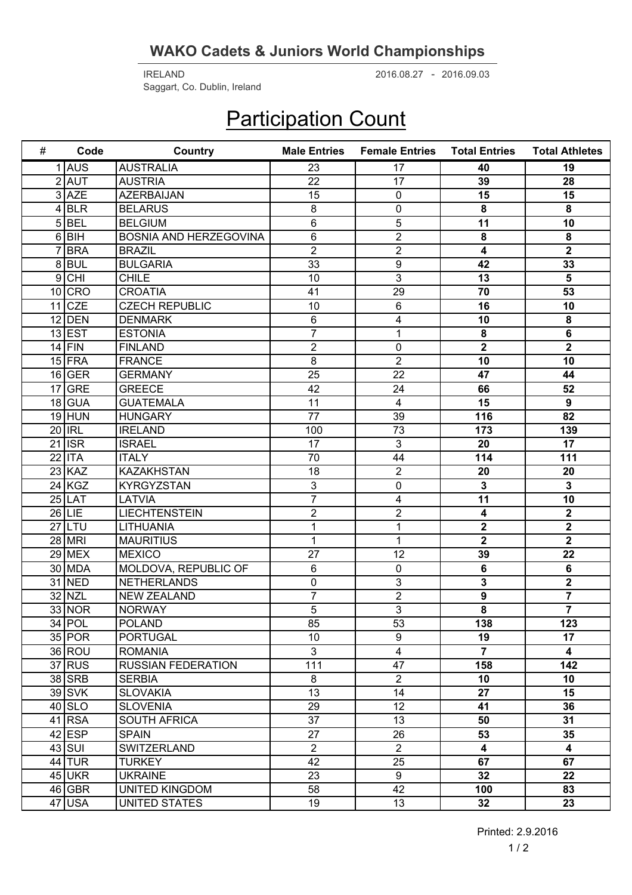## **WAKO Cadets & Juniors World Championships**

2016.08.27 2016.09.03 IRELAND - Saggart, Co. Dublin, Ireland

## **Participation Count**

| # | Code                                   | Country                   | <b>Male Entries</b> | <b>Female Entries</b>   | <b>Total Entries</b>    | <b>Total Athletes</b>   |
|---|----------------------------------------|---------------------------|---------------------|-------------------------|-------------------------|-------------------------|
|   | $1$ $\overline{\overline{\text{AUS}}}$ | <b>AUSTRALIA</b>          | 23                  | 17                      | 40                      | 19                      |
|   | $2$ AUT                                | <b>AUSTRIA</b>            | 22                  | 17                      | 39                      | 28                      |
|   | $3$ AZE                                | <b>AZERBAIJAN</b>         | 15                  | $\mathbf 0$             | 15                      | 15                      |
|   | 4 BLR                                  | <b>BELARUS</b>            | 8                   | 0                       | 8                       | 8                       |
|   | $5$ BEL                                | <b>BELGIUM</b>            | 6                   | 5                       | 11                      | 10                      |
|   | 6 BH                                   | BOSNIA AND HERZEGOVINA    | 6                   | $\overline{2}$          | 8                       | 8                       |
|   | $7$ BRA                                | <b>BRAZIL</b>             | $\overline{2}$      | $\overline{c}$          | $\overline{4}$          | $\overline{2}$          |
|   | 8BUL                                   | <b>BULGARIA</b>           | 33                  | $9$                     | 42                      | 33                      |
|   | $9$ CHI                                | <b>CHILE</b>              | 10                  | $\mathfrak{S}$          | 13                      | 5                       |
|   | $10$ CRO                               | <b>CROATIA</b>            | 41                  | 29                      | 70                      | 53                      |
|   | $11$ CZE                               | <b>CZECH REPUBLIC</b>     | 10                  | 6                       | 16                      | 10                      |
|   | $12$ DEN                               | <b>DENMARK</b>            | 6                   | 4                       | 10                      | 8                       |
|   | $13$ EST                               | <b>ESTONIA</b>            | $\overline{7}$      | 1                       | 8                       | $6\phantom{1}$          |
|   | $14$ FIN                               | <b>FINLAND</b>            | $\overline{2}$      | 0                       | $\overline{2}$          | $\overline{2}$          |
|   | $15$ FRA                               | <b>FRANCE</b>             | 8                   | $\overline{2}$          | 10                      | 10                      |
|   | $16$ GER                               | <b>GERMANY</b>            | $\overline{25}$     | 22                      | 47                      | 44                      |
|   | $17$ GRE                               | <b>GREECE</b>             | 42                  | 24                      | 66                      | 52                      |
|   | $18$ GUA                               | <b>GUATEMALA</b>          | 11                  | $\overline{\mathbf{4}}$ | 15                      | $\boldsymbol{9}$        |
|   | $19$ HUN                               | <b>HUNGARY</b>            | 77                  | 39                      | 116                     | $\overline{82}$         |
|   | $20$ IRL                               | <b>IRELAND</b>            | 100                 | 73                      | 173                     | 139                     |
|   | $21$ ISR                               | <b>ISRAEL</b>             | 17                  | $\mathfrak{S}$          | 20                      | 17                      |
|   | $22$  ITA                              | <b>ITALY</b>              | 70                  | 44                      | 114                     | 111                     |
|   | $23$ KAZ                               | <b>KAZAKHSTAN</b>         | 18                  | $\overline{2}$          | 20                      | 20                      |
|   | $24$ KGZ                               | <b>KYRGYZSTAN</b>         | 3                   | 0                       | $\mathbf{3}$            | $\overline{\mathbf{3}}$ |
|   | $25$  LAT                              | LATVIA                    | $\overline{7}$      | 4                       | 11                      | $\overline{10}$         |
|   | $26$  LIE                              | <b>LIECHTENSTEIN</b>      | $\overline{2}$      | $\overline{2}$          | 4                       | $\overline{2}$          |
|   | $27$  LTU                              | LITHUANIA                 | 1                   | 1                       | $\mathbf 2$             | $\overline{\mathbf{2}}$ |
|   | 28 MRI                                 | <b>MAURITIUS</b>          | 1                   | 1                       | $\overline{\mathbf{2}}$ | $\overline{2}$          |
|   | $29$ MEX                               | <b>MEXICO</b>             | 27                  | 12                      | 39                      | 22                      |
|   | 30 MDA                                 | MOLDOVA, REPUBLIC OF      | 6                   | 0                       | 6                       | $\bf 6$                 |
|   | 31 NED                                 | <b>NETHERLANDS</b>        | 0                   | 3                       | $\overline{\mathbf{3}}$ | $\overline{2}$          |
|   | 32 NZL                                 | <b>NEW ZEALAND</b>        | $\overline{7}$      | $\overline{2}$          | $\overline{9}$          | $\overline{\mathbf{7}}$ |
|   | $33$ NOR                               | <b>NORWAY</b>             | 5                   | $\overline{3}$          | 8                       | $\overline{7}$          |
|   | $34$ POL                               | <b>POLAND</b>             | 85                  | 53                      | 138                     | 123                     |
|   | $35$ POR                               | <b>PORTUGAL</b>           | 10 <sup>°</sup>     | 9                       | 19                      | 17                      |
|   | 36 ROU                                 | <b>ROMANIA</b>            | $\overline{3}$      | $\overline{4}$          | $\overline{7}$          | $\overline{\mathbf{4}}$ |
|   | $37$ RUS                               | <b>RUSSIAN FEDERATION</b> | 111                 | 47                      | 158                     | 142                     |
|   | $38$ SRB                               | <b>SERBIA</b>             | 8                   | $\overline{2}$          | 10                      | 10                      |
|   | $39$ SVK                               | <b>SLOVAKIA</b>           | 13                  | 14                      | 27                      | 15                      |
|   | $40$ SLO                               | <b>SLOVENIA</b>           | 29                  | 12                      | 41                      | 36                      |
|   | $41$ RSA                               | <b>SOUTH AFRICA</b>       | 37                  | 13                      | 50                      | 31                      |
|   | $42$ ESP                               | <b>SPAIN</b>              | 27                  | 26                      | 53                      | 35                      |
|   | $43$ SUI                               | SWITZERLAND               | $\overline{2}$      | $\overline{2}$          | $\overline{\mathbf{4}}$ | $\overline{\mathbf{4}}$ |
|   | $44$ TUR                               | <b>TURKEY</b>             | 42                  | 25                      | 67                      | 67                      |
|   | $45$ UKR                               | <b>UKRAINE</b>            | 23                  | 9                       | 32                      | 22                      |
|   | 46 GBR                                 | <b>UNITED KINGDOM</b>     | 58                  | 42                      | 100                     | 83                      |
|   | 47 USA                                 | <b>UNITED STATES</b>      | 19                  | 13                      | 32 <sub>2</sub>         | 23                      |

Printed: 2.9.2016  $1/2$